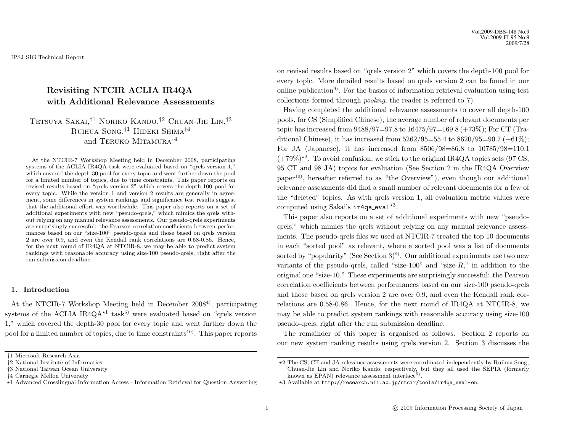Vol.2009-DBS-148 No.9 Vol.2009-FI-95 No.9 2009/7/28

IPSJ SIG Technical Report

# **Revisiting NTCIR ACLIA IR4QA with Additional Relevance Assessments**

# Tetsuya Sakai,†1 Noriko Kando,†2 Chuan-Jie Lin,†3 RUIHUA SONG,<sup>†1</sup> HIDEKI SHIMA<sup>†4</sup> and TERUKO MITAMURA<sup>†4</sup>

At the NTCIR-7 Workshop Meeting held in December 2008, participating systems of the ACLIA IR4QA task were evaluated based on "qrels version 1," which covered the depth-30 pool for every topic and went further down the pool for a limited number of topics, due to time constraints. This paper reports on revised results based on "qrels version 2" which covers the depth-100 pool for every topic. While the version 1 and version 2 results are generally in agreement, some differences in system rankings and significance test results suggest that the additional effort was worthwhile. This paper also reports on a set of additional experiments with new "pseudo-qrels," which mimics the qrels without relying on any manual relevance assessments. Our pseudo-qrels experiments are surprisingly successful: the Pearson correlation coefficients between performances based on our "size-100" pseudo-qrels and those based on qrels version 2 are over 0.9, and even the Kendall rank correlations are 0.58-0.86. Hence, for the next round of IR4QA at NTCIR-8, we may be able to predict system rankings with reasonable accuracy using size-100 pseudo-qrels, right after the run submission deadline.

### **1. Introduction**

At the NTCIR-7 Workshop Meeting held in December 2008<sup>4</sup>, participating systems of the ACLIA IR4Q $A^{\star 1}$  task<sup>5)</sup> were evaluated based on "qrels version 1," which covered the depth-30 pool for every topic and went further down the pool for a limited number of topics, due to time constraints<sup>10)</sup>. This paper reports on revised results based on "qrels version 2" which covers the depth-100 pool for every topic. More detailed results based on qrels version 2 can be found in our online publication9). For the basics of information retrieval evaluation using test collections formed through *pooling*, the reader is referred to 7).

Having completed the additional relevance assessments to cover all depth-100 pools, for CS (Simplified Chinese), the average number of relevant documents per topic has increased from  $9488/97=97.8$  to  $16475/97=169.8$  (+73%); For CT (Traditional Chinese), it has increased from  $5262/95=55.4$  to  $8620/95=90.7$  ( $+61\%$ ); For JA (Japanese), it has increased from 8506/98=86.8 to 10785/98=110.1  $(+79\%)^{\star 2}$ . To avoid confusion, we stick to the original IR4QA topics sets (97 CS, 95 CT and 98 JA) topics for evaluation (See Section 2 in the IR4QA Overview paper10), hereafter referred to as "the Overview"), even though our additional relevance assessments did find a small number of relevant documents for a few of the "deleted" topics. As with qrels version 1, all evaluation metric values were computed using Sakai's  $ir4qa$ -eval<sup>\*3</sup>.

This paper also reports on a set of additional experiments with new "pseudoqrels," which mimics the qrels without relying on any manual relevance assessments. The pseudo-qrels files we used at NTCIR-7 treated the top 10 documents in each "sorted pool" as relevant, where a sorted pool was a list of documents sorted by "popularity" (See Section  $3^{9}$ ). Our additional experiments use two new variants of the pseudo-qrels, called "size-100" and "size- $R$ ," in addition to the original one "size-10." These experiments are surprisingly successful: the Pearson correlation coefficients between performances based on our size-100 pseudo-qrels and those based on qrels version 2 are over 0.9, and even the Kendall rank correlations are 0.58-0.86. Hence, for the next round of IR4QA at NTCIR-8, we may be able to predict system rankings with reasonable accuracy using size-100 pseudo-qrels, right after the run submission deadline.

The remainder of this paper is organised as follows. Section 2 reports on our new system ranking results using qrels version 2. Section 3 discusses the

<sup>†</sup>1 Microsoft Research Asia

<sup>†</sup>2 National Institute of Informatics

<sup>†</sup>3 National Taiwan Ocean University

<sup>†</sup>4 Carnegie Mellon University

<sup>-</sup>1 Advanced Crosslingual Information Access - Information Retrieval for Question Answering

<sup>-</sup>2 The CS, CT and JA relevance assessments were coordinated independently by Ruihua Song, Chuan-Jie Lin and Noriko Kando, respectively, but they all used the SEPIA (formerly known as  $EPAN$ ) relevance assessment interface<sup>5)</sup>.

<sup>-</sup>3 Available at http://research.nii.ac.jp/ntcir/tools/ir4qa eval-en.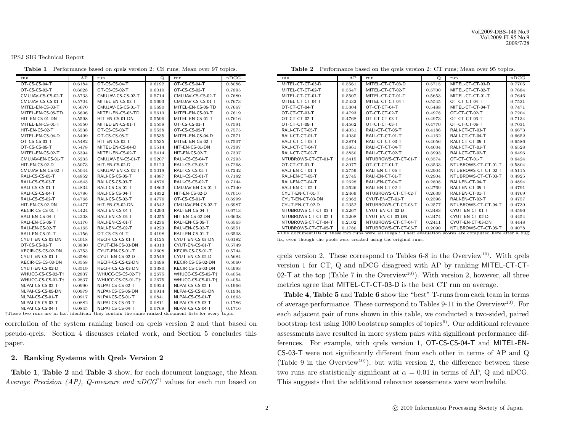Vol.2009-DBS-148 No.9 Vol.2009-FI-95 No.9 2009/7/28

IPSJ SIG Technical Report

| run               | AP     | run               | Q.     | run               | nDCG   |
|-------------------|--------|-------------------|--------|-------------------|--------|
| OT-CS-CS-04-T     | 0.6184 | OT-CS-CS-04-T     | 0.6192 | OT-CS-CS-04-T     | 0.8086 |
| OT-CS-CS-02-T     | 0.6028 | OT-CS-CS-02-T     | 0.6010 | OT-CS-CS-02-T     | 0.7895 |
| CMUJAV-CS-CS-02-T | 0.5733 | CMUJAV-CS-CS-02-T | 0.5714 | CMUJAV-CS-CS-02-T | 0.7680 |
| CMUJAV-CS-CS-01-T | 0.5704 | MITEL-EN-CS-03-T  | 0.5693 | CMUJAV-CS-CS-01-T | 0.7673 |
| MITEL-EN-CS-03-T  | 0.5670 | CMUJAV-CS-CS-01-T | 0.5690 | MITEL-EN-CS-05-TD | 0.7667 |
| MITEL-EN-CS-05-TD | 0.5606 | MITEL-EN-CS-05-TD | 0.5613 | MITEL-EN-CS-03-T  | 0.7619 |
| HIT-EN-CS-01-DN   | 0.5598 | HIT-EN-CS-01-DN   | 0.5596 | MITEL-EN-CS-01-T  | 0.7616 |
| MITEL-EN-CS-01-T  | 0.5550 | MITEL-EN-CS-01-T  | 0.5558 | OT-CS-CS-03-T     | 0.7591 |
| HIT-EN-CS-02-T    | 0.5538 | OT-CS-CS-03-T     | 0.5538 | OT-CS-CS-05-T     | 0.7575 |
| MITEL-EN-CS-04-D  | 0.5499 | OT-CS-CS-05-T     | 0.5535 | MITEL-EN-CS-04-D  | 0.7571 |
| OT-CS-CS-03-T     | 0.5482 | HIT-EN-CS-02-T    | 0.5535 | MITEL-EN-CS-02-T  | 0.7507 |
| OT-CS-CS-05-T     | 0.5478 | MITEL-EN-CS-04-D  | 0.5514 | HIT-EN-CS-01-DN   | 0.7397 |
| MITEL-EN-CS-02-T  | 0.5394 | MITEL-EN-CS-02-T  | 0.5414 | HIT-EN-CS-02-T    | 0.7337 |
| CMUJAV-EN-CS-01-T | 0.5233 | CMUJAV-EN-CS-01-T | 0.5207 | RALI-CS-CS-04-T   | 0.7293 |
| HIT-EN-CS-02-D    | 0.5073 | HIT-EN-CS-02-D    | 0.5123 | RALI-CS-CS-03-T   | 0.7268 |
| CMUJAV-EN-CS-02-T | 0.5044 | CMUJAV-EN-CS-02-T | 0.5019 | RALI-CS-CS-05-T   | 0.7242 |
| RALI-CS-CS-05-T   | 0.4852 | RALI-CS-CS-05-T   | 0.4887 | RALI-CS-CS-01-T   | 0.7182 |
| RALI-CS-CS-03-T   | 0.4843 | RALI-CS-CS-03-T   | 0.4876 | RALI-CS-CS-02-T   | 0.7144 |
| RALI-CS-CS-01-T   | 0.4834 | RALI-CS-CS-01-T   | 0.4863 | CMUJAV-EN-CS-01-T | 0.7140 |
| RALI-CS-CS-04-T   | 0.4786 | RALI-CS-CS-04-T   | 0.4832 | HIT-EN-CS-02-D    | 0.7016 |
| RALI-CS-CS-02-T   | 0.4768 | RALI-CS-CS-02-T   | 0.4776 | OT-CS-CS-01-T     | 0.6999 |
| HIT-EN-CS-02-DN   | 0.4477 | HIT-EN-CS-02-DN   | 0.4542 | CMUJAV-EN-CS-02-T | 0.6987 |
| KECIR-CS-CS-01-T  | 0.4424 | RALI-EN-CS-04-T   | 0.4293 | RALI-EN-CS-04-T   | 0.6713 |
| RALI-EN-CS-04-T   | 0.4208 | RALI-EN-CS-05-T   | 0.4255 | HIT-EN-CS-02-DN   | 0.6638 |
| RALI-EN-CS-05-T   | 0.4176 | RALI-EN-CS-01-T   | 0.4236 | RALI-EN-CS-05-T   | 0.6563 |
| RALI-EN-CS-02-T   | 0.4165 | RALI-EN-CS-02-T   | 0.4223 | RALI-EN-CS-02-T   | 0.6551 |
| RALI-EN-CS-01-T   | 0.4156 | OT-CS-CS-01-T     | 0.4198 | RALI-EN-CS-01-T   | 0.6508 |
| CYUT-EN-CS-03-DN  | 0.4018 | KECIR-CS-CS-01-T  | 0.4125 | CYUT-EN-CS-03-DN  | 0.6182 |
| OT-CS-CS-01-T     | 0.3830 | CYUT-EN-CS-03-DN  | 0.4013 | CYUT-EN-CS-01-T   | 0.5749 |
| KECIR-CS-CS-02-DN | 0.3753 | CYUT-EN-CS-01-T   | 0.3608 | KECIR-CS-CS-01-T  | 0.5744 |
| CYUT-EN-CS-01-T   | 0.3586 | CYUT-EN-CS-02-D   | 0.3549 | CYUT-EN-CS-02-D   | 0.5684 |
| KECIR-CS-CS-03-DN | 0.3558 | KECIR-CS-CS-02-DN | 0.3498 | KECIR-CS-CS-02-DN | 0.5060 |
| CYUT-EN-CS-02-D   | 0.3519 | KECIR-CS-CS-03-DN | 0.3380 | KECIR-CS-CS-03-DN | 0.4993 |
| WHUCC-CS-CS-02-T+ | 0.2837 | WHUCC-CS-CS-02-T+ | 0.2675 | WHUCC-CS-CS-02-T+ | 0.4054 |
| WHUCC-CS-CS-01-Tt | 0.2837 | WHUCC-CS-CS-01-Tt | 0.2675 | WHUCC-CS-CS-01-Tt | 0.4054 |
| NLPAI-CS-CS-02-T  | 0.0990 | NLPAI-CS-CS-02-T  | 0.0924 | NLPAI-CS-CS-02-T  | 0.1966 |
| NLPAI-CS-CS-05-DN | 0.0979 | NLPAI-CS-CS-05-DN | 0.0914 | NLPAI-CS-CS-05-DN | 0.1934 |
| NLPAI-CS-CS-01-T  | 0.0917 | NLPAI-CS-CS-01-T  | 0.0841 | NLPAI-CS-CS-01-T  | 0.1865 |
| NLPAI-CS-CS-03-T  | 0.0882 | NLPAI-CS-CS-03-T  | 0.0811 | NLPAI-CS-CS-03-T  | 0.1786 |
| NU DAL CC CC 04 T | 0.0945 | NU DAL CC CC 04 T | 0.0700 | NU DAL CC CC 04 T | 0.171c |

**Table 1** Performance based on qrels version 2: CS runs; Mean over 97 topics.

NLPAI-CS-CS-04-T 0.0845 NLPAI-CS-CS-04-T 0.0768 NLPAI-CS-CS-04-T 0.1716 †These two runs are in fact identical: they contain the same ranked document lists for every topic.

correlation of the system ranking based on qrels version 2 and that based on pseudo-qrels. Section 4 discusses related work, and Section 5 concludes this paper.

#### **2. Ranking Systems with Qrels Version 2**

**Table 1**, **Table 2** and **Table 3** show, for each document language, the Mean *Average Precision (AP), Q-measure and nDCG*7) values for each run based on

**Table 2** Performance based on the qrels version 2: CT runs; Mean over 95 topics.

| run                 | AP     | run                                                                                                       | Q      | run                 | nDCG   |
|---------------------|--------|-----------------------------------------------------------------------------------------------------------|--------|---------------------|--------|
|                     |        |                                                                                                           |        |                     |        |
| MITEL-CT-CT-03-D    | 0.5561 | MITEL-CT-CT-03-D                                                                                          | 0.5715 | MITEL-CT-CT-03-D    | 0.7705 |
| MITEL-CT-CT-02-T    | 0.5547 | MITEL-CT-CT-02-T                                                                                          | 0.5700 | MITEL-CT-CT-02-T    | 0.7684 |
| MITEL-CT-CT-01-T    | 0.5507 | MITEL-CT-CT-01-T                                                                                          | 0.5653 | MITEL-CT-CT-01-T    | 0.7646 |
| MITEL-CT-CT-04-T    | 0.5432 | MITEL-CT-CT-04-T                                                                                          | 0.5545 | OT-CT-CT-04-T       | 0.7531 |
| OT-CT-CT-04-T       | 0.5304 | OT-CT-CT-04-T                                                                                             | 0.5488 | MITEL-CT-CT-04-T    | 0.7471 |
| OT-CT-CT-03-T       | 0.4793 | OT-CT-CT-02-T                                                                                             | 0.4978 | OT-CT-CT-02-T       | 0.7204 |
| OT-CT-CT-02-T       | 0.4768 | OT-CT-CT-03-T                                                                                             | 0.4973 | OT-CT-CT-03-T       | 0.7134 |
| OT-CT-CT-05-T       | 0.4562 | OT-CT-CT-05-T                                                                                             | 0.4770 | OT-CT-CT-05-T       | 0.7031 |
| RALI-CT-CT-05-T     | 0.4051 | RALI-CT-CT-05-T                                                                                           | 0.4186 | RALI-CT-CT-03-T     | 0.6673 |
| RALI-CT-CT-01-T     | 0.4030 | RALI-CT-CT-01-T                                                                                           | 0.4162 | RALI-CT-CT-04-T     | 0.6652 |
| RALI-CT-CT-03-T     | 0.3874 | RALI-CT-CT-03-T                                                                                           | 0.4056 | RALI-CT-CT-05-T     | 0.6586 |
| RALI-CT-CT-04-T     | 0.3861 | RALI-CT-CT-04-T                                                                                           | 0.4034 | RALI-CT-CT-01-T     | 0.6528 |
| RALI-CT-CT-02-T     | 0.3850 | RALI-CT-CT-02-T                                                                                           | 0.3993 | RALI-CT-CT-02-T     | 0.6496 |
| NTUBROWS-CT-CT-01-T | 0.3415 | NTUBROWS-CT-CT-01-T                                                                                       | 0.3574 | OT-CT-CT-01-T       | 0.6424 |
| OT-CT-CT-01-T       | 0.3077 | OT-CT-CT-01-T                                                                                             | 0.3533 | NTUBROWS-CT-CT-01-T | 0.5804 |
| RALI-EN-CT-01-T     | 0.2759 | RALI-EN-CT-05-T                                                                                           | 0.2904 | NTUBROWS-CT-CT-02-T | 0.5115 |
| RALI-EN-CT-05-T     | 0.2745 | RALI-EN-CT-01-T                                                                                           | 0.2904 | NTUBROWS-CT-CT-03-T | 0.4925 |
| RALI-EN-CT-04-T     | 0.2628 | RALI-EN-CT-04-T                                                                                           | 0.2808 | RALI-EN-CT-04-T     | 0.4894 |
| RALI-EN-CT-02-T     | 0.2626 | RALI-EN-CT-02-T                                                                                           | 0.2769 | RALI-EN-CT-05-T     | 0.4791 |
| CYUT-EN-CT-01-T     | 0.2469 | NTUBROWS-CT-CT-02-T                                                                                       | 0.2639 | RALI-EN-CT-01-T     | 0.4769 |
| CYUT-EN-CT-03-DN    | 0.2362 | CYUT-EN-CT-01-T                                                                                           | 0.2596 | RALI-EN-CT-02-T     | 0.4757 |
| CYUT-EN-CT-02-D     | 0.2352 | NTUBROWS-CT-CT-03-T                                                                                       | 0.2577 | NTUBROWS-CT-CT-04-T | 0.4739 |
| NTUBROWS-CT-CT-03-T | 0.2267 | CYUT-EN-CT-02-D                                                                                           | 0.2483 | CYUT-EN-CT-01-T     | 0.4596 |
| NTUBROWS-CT-CT-02-T | 0.2208 | CYUT-EN-CT-03-DN                                                                                          | 0.2474 | CYUT-EN-CT-02-D     | 0.4454 |
| NTUBROWS-CT-CT-04-T | 0.2102 | NTUBROWS-CT-CT-04-T                                                                                       | 0.2411 | CYUT-EN-CT-03-DN    | 0.4448 |
| NTUBROWS-CT-CT-05-T | 0.1780 | NTUBROWS-CT-CT-05-T                                                                                       | 0.2090 | NTUBROWS-CT-CT-05-T | 0.4078 |
|                     |        | The documentIDs in these two runs were all illegal: Their evaluation scores are computed here after a bug |        |                     |        |

fix, even though the pools were created using the original runs.

qrels version 2. These correspond to Tables  $6-8$  in the Overview<sup>10</sup>. With qrels version 1 for CT, Q and nDCG disagreed with AP by ranking MITEL-CT-CT-02-T at the top (Table 7 in the Overview<sup>10)</sup>). With version 2, however, all three metrics agree that MITEL-CT-CT-03-D is the best CT run on average.

**Table 4**, **Table 5** and **Table 6** show the "best" T-runs from each team in terms of average performance. These correspond to Tables 9-11 in the Overview10). For each adjacent pair of runs shown in this table, we conducted a two-sided, paired bootstrap test using 1000 bootstrap samples of topics $\epsilon$ <sup>6</sup>). Our additional relevance assessments have resulted in more system pairs with significant performance differences. For example, with qrels version 1, OT-CS-CS-04-T and MITEL-EN-CS-03-T were not significantly different from each other in terms of AP and Q (Table 9 in the Overview<sup>10)</sup>), but with version 2, the difference between these two runs are statistically significant at  $\alpha = 0.01$  in terms of AP, Q and nDCG. This suggests that the additional relevance assessments were worthwhile.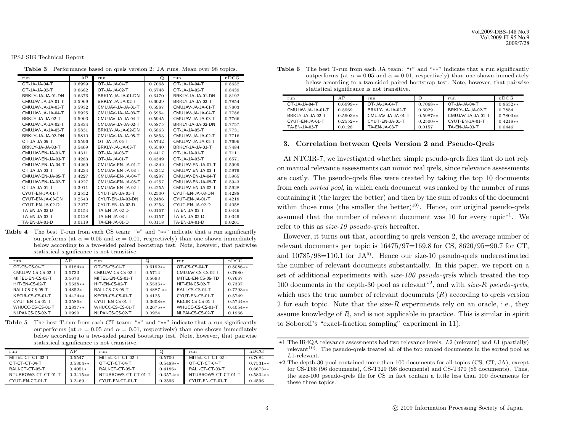Vol.2009-DBS-148 No.9 Vol.2009-FI-95 No.9 2009/7/28

IPSJ SIG Technical Report

**Table 3** Performance based on qrels version 2: JA runs; Mean over 98 topics.

| run               | AP     | run               | Q      | run               | nDCG   |
|-------------------|--------|-------------------|--------|-------------------|--------|
| OT-JA-JA-04-T     | 0.6999 | OT-JA-JA-04-T     | 0.7068 | OT-JA-JA-04-T     | 0.8632 |
| OT-JA-JA-02-T     | 0.6682 | OT-JA-JA-02-T     | 0.6748 | OT-JA-JA-02-T     | 0.8439 |
| BRKLY-JA-JA-01-DN | 0.6376 | BRKLY-JA-JA-01-DN | 0.6470 | BRKLY-JA-JA-01-DN | 0.8192 |
| CMUJAV-JA-JA-01-T | 0.5969 | BRKLY-JA-JA-02-T  | 0.6029 | BRKLY-JA-JA-02-T  | 0.7854 |
| CMUJAV-JA-JA-03-T | 0.5932 | CMUJAV-JA-JA-01-T | 0.5987 | CMUJAV-JA-JA-01-T | 0.7803 |
| CMUJAV-JA-JA-04-T | 0.5925 | CMUJAV-JA-JA-03-T | 0.5954 | CMUJAV-JA-JA-04-T | 0.7786 |
| BRKLY-JA-JA-02-T  | 0.5903 | CMUJAV-JA-JA-04-T | 0.5945 | CMUJAV-JA-JA-03-T | 0.7766 |
| CMUJAV-JA-JA-02-T | 0.5834 | CMUJAV-JA-JA-02-T | 0.5875 | BRKLY-JA-JA-02-DN | 0.7757 |
| CMUJAV-JA-JA-05-T | 0.5831 | BRKLY-JA-JA-02-DN | 0.5863 | OT-JA-JA-05-T     | 0.7731 |
| BRKLY-JA-JA-02-DN | 0.5810 | CMUJAV-JA-JA-05-T | 0.5853 | CMUJAV-JA-JA-02-T | 0.7716 |
| OT-JA-JA-05-T     | 0.5596 | OT-JA-JA-05-T     | 0.5742 | CMUJAV-JA-JA-05-T | 0.7696 |
| BRKLY-JA-JA-03-T  | 0.5469 | BRKLY-JA-JA-03-T  | 0.5540 | BRKLY-JA-JA-03-T  | 0.7484 |
| CMUJAV-EN-JA-01-T | 0.4311 | OT-JA-JA-03-T     | 0.4417 | OT-JA-JA-01-T     | 0.7111 |
| CMUJAV-EN-JA-03-T | 0.4283 | OT-JA-JA-01-T     | 0.4349 | OT-JA-JA-03-T     | 0.6571 |
| CMUJAV-EN-JA-04-T | 0.4269 | CMUJAV-EN-JA-01-T | 0.4342 | CMUJAV-EN-JA-01-T | 0.5999 |
| OT-JA-JA-03-T     | 0.4234 | CMUJAV-EN-JA-03-T | 0.4312 | CMUJAV-EN-JA-03-T | 0.5979 |
| CMUJAV-EN-JA-05-T | 0.4227 | CMUJAV-EN-JA-04-T | 0.4297 | CMUJAV-EN-JA-04-T | 0.5965 |
| CMUJAV-EN-JA-02-T | 0.4227 | CMUJAV-EN-JA-05-T | 0.4257 | CMUJAV-EN-JA-05-T | 0.5943 |
| OT-JA-JA-01-T     | 0.3911 | CMUJAV-EN-JA-02-T | 0.4255 | CMUJAV-EN-JA-02-T | 0.5928 |
| CYUT-EN-JA-01-T   | 0.2552 | CYUT-EN-JA-01-T   | 0.2500 | CYUT-EN-JA-03-DN  | 0.4288 |
| CYUT-EN-JA-03-DN  | 0.2543 | CYUT-EN-JA-03-DN  | 0.2486 | CYUT-EN-JA-01-T   | 0.4218 |
| CYUT-EN-JA-02-D   | 0.2277 | CYUT-EN-JA-02-D   | 0.2253 | CYUT-EN-JA-02-D   | 0.4058 |
| TA-EN-JA-02-D     | 0.0154 | TA-EN-JA-02-D     | 0.0167 | TA-EN-JA-03-T     | 0.0446 |
| TA-EN-JA-03-T     | 0.0128 | TA-EN-JA-03-T     | 0.0157 | TA-EN-JA-02-D     | 0.0349 |
| TA-EN-JA-01-D     | 0.0119 | TA-EN-JA-01-D     | 0.0118 | TA-EN-JA-01-D     | 0.0261 |

**Table 4** The best T-run from each CS team: "∗" and "∗∗" indicate that a run significantly outperforms (at  $\alpha = 0.05$  and  $\alpha = 0.01$ , respectively) than one shown immediately below according to a two-sided paired bootstrap test. Note, however, that pairwise statistical significance is not transitive.

| run               | ΑP         | run               | Q          | run               | nDCG       |
|-------------------|------------|-------------------|------------|-------------------|------------|
| OT-CS-CS-04-T     | $0.6184**$ | $O$ T-CS-CS-04-T  | $0.6192**$ | OT-CS-CS-04-T     | $0.8086**$ |
| CMUJAV-CS-CS-02-T | 0.5733     | CMUJAV-CS-CS-02-T | 0.5714     | CMUJAV-CS-CS-02-T | 0.7680     |
| MITEL-EN-CS-03-T  | 0.5670     | MITEL-EN-CS-03-T  | 0.5693     | MITEL-EN-CS-05-TD | 0.7667     |
| HIT-EN-CS-02-T    | $0.5538**$ | HIT-EN-CS-02-T    | $0.5535**$ | HIT-EN-CS-02-T    | 0.7337     |
| RALI-CS-CS-05-T   | $0.4852*$  | RALLCS-CS-05-T    | $0.4887**$ | RALI-CS-CS-04-T   | $0.7293**$ |
| KECIR-CS-CS-01-T  | $0.4424**$ | KECIR-CS-CS-01-T  | 0.4125     | CYUT-EN-CS-01-T   | 0.5749     |
| CYUT-EN-CS-01-T   | $0.3586*$  | CYUT-EN-CS-01-T   | $0.3608**$ | KECIR-CS-CS-01-T  | $0.5744**$ |
| WHUCC-CS-CS-01-T  | $0.2837**$ | WHUCC-CS-CS-01-T  | $0.2675**$ | WHUCC-CS-CS-01-T  | $0.4054**$ |
| NLPAI-CS-CS-02-T  | 0.0990     | NLPAI-CS-CS-02-T  | 0.0924     | NLPAI-CS-CS-02-T  | 0.1966     |

Table 5 The best T-run from each CT team: "∗" and "\*\*" indicate that a run significantly outperforms (at  $\alpha = 0.05$  and  $\alpha = 0.01$ , respectively) than one shown immediately below according to a two-sided paired bootstrap test. Note, however, that pairwise statistical significance is not transitive.

| run                 | ΑP         | run                 |            | run                 | nDCG       |
|---------------------|------------|---------------------|------------|---------------------|------------|
| MITEL-CT-CT-02-T    | 0.5547     | MITEL-CT-CT-02-T    | 0.5700     | MITEL-CT-CT-02-T    | 0.7684     |
| OT-CT-CT-04-T       | $0.5304**$ | OT-CT-CT-04-T       | $0.5488**$ | OT-CT-CT-04-T       | $0.7531**$ |
| RALI-CT-CT-05-T     | $0.4051*$  | RALI-CT-CT-05-T     | $0.4186*$  | RALI-CT-CT-03-T     | $0.6673**$ |
| NTUBROWS-CT-CT-01-T | $0.3415**$ | NTUBROWS-CT-CT-01-T | $0.3574**$ | NTUBROWS-CT-CT-01-T | $0.5804**$ |
| CYUT-EN-CT-01-T     | 0.2469     | CYUT-EN-CT-01-T     | 0.2596     | CYUT-EN-CT-01-T     | 0.4596     |

**Table 6** The best T-run from each JA team: "∗" and "∗∗" indicate that a run significantly outperforms (at  $\alpha = 0.05$  and  $\alpha = 0.01$ , respectively) than one shown immediately below according to a two-sided paired bootstrap test. Note, however, that pairwise statistical significance is not transitive.  $\blacksquare$ 

| run               | ΑP         | run               |            | run               | nDCG       |
|-------------------|------------|-------------------|------------|-------------------|------------|
| $OT-IA-IA-04-T$   | $0.6999**$ | $O$ T-JA-JA-04-T  | $0.7068**$ | $O$ T-JA-JA-04-T  | $0.8632**$ |
| CMUJAV-JA-JA-01-T | 0.5969     | BRKLY-JA-JA-02-T  | 0.6029     | BRKLY-JA-JA-02-T  | 0.7854     |
| BRKLY-JA-JA-02-T  | $0.5903**$ | CMUJAV-JA-JA-01-T | $0.5987**$ | CMUJAV-JA-JA-01-T | $0.7803**$ |
| CYUT-EN-JA-01-T   | $0.2552**$ | CYUT-EN-JA-01-T   | $0.2500**$ | CYUT-EN-JA-01-T   | $0.4218**$ |
| TA-EN-JA-03-T     | 0.0128     | TA-EN-JA-03-T     | 0.0157     | TA-EN-JA-03-T     | 0.0446     |

### **3. Correlation between Qrels Version 2 and Pseudo-Qrels**

At NTCIR-7, we investigated whether simple pseudo-qrels files that do not rely on manual relevance assessments can mimic real qrels, since relevance assessments are costly. The pseudo-qrels files were created by taking the top 10 documents from each *sorted pool*, in which each document was ranked by the number of runs containing it (the larger the better) and then by the sum of ranks of the document within those runs (the smaller the better)<sup>10)</sup>. Hence, our original pseudo-qrels assumed that the number of relevant document was 10 for every topic<sup> $\star$ 1</sup>. We refer to this as *size-10 pseudo-qrels* hereafter.

However, it turns out that, according to qrels version 2, the average number of relevant documents per topic is  $16475/97=169.8$  for CS,  $8620/95=90.7$  for CT, and  $10785/98=110.1$  for JA<sup>9</sup>. Hence our size-10 pseudo-qrels underestimated the number of relevant documents substantially. In this paper, we report on a set of additional experiments with *size-100 pseudo-qrels* which treated the top 100 documents in the depth-30 pool as relevant<sup>\*2</sup>, and with *size-R pseudo-qrels*, which uses the true number of relevant documents  $(R)$  according to grels version 2 for each topic. Note that the size- $R$  experiments rely on an oracle, i.e., they assume knowledge of R, and is not applicable in practice. This is similar in spirit to Soboroff's "exact-fraction sampling" experiment in 11).

 $\star$ 1 The IR4QA relevance assessments had two relevance levels: L2 (relevant) and L1 (partially) relevant<sup>10</sup>). The pseudo-qrels treated all of the top ranked documents in the sorted pool as L1-relevant.

<sup>-</sup>2 The depth-30 pool contained more than 100 documents for all topics (CS, CT, JA), except for CS-T68 (96 documents), CS-T329 (98 documents) and CS-T370 (85 documents). Thus, the size-100 pseudo-qrels file for CS in fact contain a little less than 100 documents for these three topics.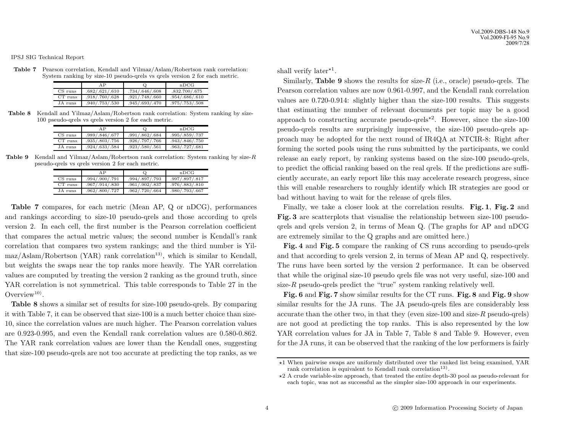**Table 7** Pearson correlation, Kendall and Yilmaz/Aslam/Robertson rank correlation: System ranking by size-10 pseudo-qrels vs qrels version 2 for each metric.

|           | ΑP             |                | nDCG           |
|-----------|----------------|----------------|----------------|
| $CS$ runs | .682/.621/.610 | .734/.646/.608 | .832.700/.675  |
| $CT$ runs | .918/.760/.628 | .921/.748/.660 | .954/.686/.610 |
| JA runs   | .940/.753/.530 | .945/.693/.470 | .975/.753/.508 |

**Table 8** Kendall and Yilmaz/Aslam/Robertson rank correlation: System ranking by size-100 pseudo-qrels vs qrels version 2 for each metric.

|           | ΑP             | Ô              | nDCG             |
|-----------|----------------|----------------|------------------|
| CS runs   | .989/.846/.677 | .991/.862/.684 | .995/.859/.737   |
| $CT$ runs | .935/.803/.756 | .926/.797/.766 | .943/.846/.750   |
| JA runs   | .924/.633/.584 | .923/.580/.561 | .963/0.727/0.681 |

**Table 9** Kendall and Yilmaz/Aslam/Robertson rank correlation: System ranking by size-<sup>R</sup> pseudo-qrels vs qrels version 2 for each metric.

|           | AP             | Q.               | nDCG           |
|-----------|----------------|------------------|----------------|
| CS runs   | .994/.900/.791 | .994/.897/.793   | .997/.897/.817 |
| $CT$ runs | .967/.914/.830 | .961/.902/.837   | .976/.883/.810 |
| JA runs   | .962/.800/.727 | .962/0.720/0.664 | .980/.793/.667 |

**Table 7** compares, for each metric (Mean AP, Q or nDCG), performances and rankings according to size-10 pseudo-qrels and those according to qrels version 2. In each cell, the first number is the Pearson correlation coefficient that compares the actual metric values; the second number is Kendall's rank correlation that compares two system rankings; and the third number is Yil- $\text{max/Aslam/Robertson (YAR)}$  rank correlation<sup>13)</sup>, which is similar to Kendall, but weights the swaps near the top ranks more heavily. The YAR correlation values are computed by treating the version 2 ranking as the ground truth, since YAR correlation is not symmetrical. This table corresponds to Table 27 in the Overview<sup>10)</sup>.

**Table 8** shows a similar set of results for size-100 pseudo-qrels. By comparing it with Table 7, it can be observed that size-100 is a much better choice than size-10, since the correlation values are much higher. The Pearson correlation values are 0.923-0.995, and even the Kendall rank correlation values are 0.580-0.862. The YAR rank correlation values are lower than the Kendall ones, suggesting that size-100 pseudo-qrels are not too accurate at predicting the top ranks, as we

shall verify later<sup>\*1</sup>.

Similarly, **Table 9** shows the results for size- $R$  (i.e., oracle) pseudo-qrels. The Pearson correlation values are now 0.961-0.997, and the Kendall rank correlation values are 0.720-0.914: slightly higher than the size-100 results. This suggests that estimating the number of relevant documents per topic may be a good approach to constructing accurate pseudo-qrels<sup> $\star$ 2</sup>. However, since the size-100 pseudo-qrels results are surprisingly impressive, the size-100 pseudo-qrels approach may be adopted for the next round of IR4QA at NTCIR-8: Right after forming the sorted pools using the runs submitted by the participants, we could release an early report, by ranking systems based on the size-100 pseudo-qrels, to predict the official ranking based on the real qrels. If the predictions are sufficiently accurate, an early report like this may accelerate research progress, since this will enable researchers to roughly identify which IR strategies are good or bad without having to wait for the release of qrels files.

Finally, we take a closer look at the correlation results. **Fig. 1**, **Fig. 2** and **Fig. 3** are scatterplots that visualise the relationship between size-100 pseudoqrels and qrels version 2, in terms of Mean Q. (The graphs for AP and nDCG are extremely similar to the Q graphs and are omitted here.)

**Fig. 4** and **Fig. 5** compare the ranking of CS runs according to pseudo-qrels and that according to qrels version 2, in terms of Mean AP and Q, respectively. The runs have been sorted by the version 2 performance. It can be observed that while the original size-10 pseudo qrels file was not very useful, size-100 and size- $R$  pseudo-qrels predict the "true" system ranking relatively well.

**Fig. 6** and **Fig. 7** show similar results for the CT runs. **Fig. 8** and **Fig. 9** show similar results for the JA runs. The JA pseudo-qrels files are considerably less accurate than the other two, in that they (even size-100 and size-R pseudo-qrels) are not good at predicting the top ranks. This is also represented by the low YAR correlation values for JA in Table 7, Table 8 and Table 9. However, even for the JA runs, it can be observed that the ranking of the low performers is fairly

<sup>-</sup>1 When pairwise swaps are uniformly distributed over the ranked list being examined, YAR rank correlation is equivalent to Kendall rank correlation<sup>13)</sup>.

<sup>-</sup>2 A crude variable-size approach, that treated the entire depth-30 pool as pseudo-relevant for each topic, was not as successful as the simpler size-100 approach in our experiments.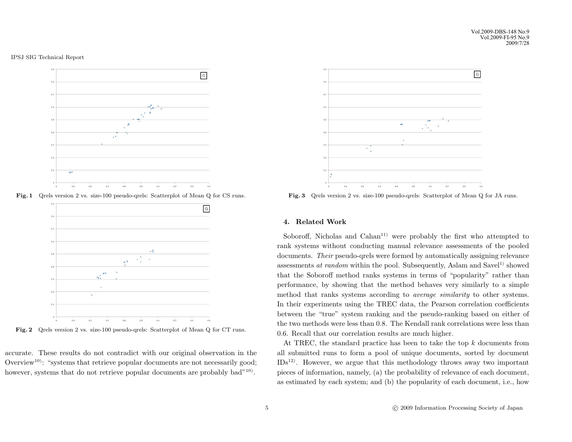

Fig. 1 Qrels version 2 vs. size-100 pseudo-qrels: Scatterplot of Mean Q for CS runs.



Fig. 2 Qrels version 2 vs. size-100 pseudo-qrels: Scatterplot of Mean Q for CT runs.

accurate. These results do not contradict with our original observation in the Overview<sup>10)</sup>: "systems that retrieve popular documents are not necessarily good; however, systems that do not retrieve popular documents are probably bad<sup> $n=10$ </sup>.



**Fig. 3** Qrels version 2 vs. size-100 pseudo-qrels: Scatterplot of Mean Q for JA runs.

## **4. Related Work**

Soboroff, Nicholas and  $\text{Cahan}^{11}$  were probably the first who attempted to rank systems without conducting manual relevance assessments of the pooled documents. *Their* pseudo-qrels were formed by automatically assigning relevance assessments *at random* within the pool. Subsequently, Aslam and Savel<sup>1)</sup> showed that the Soboroff method ranks systems in terms of "popularity" rather than performance, by showing that the method behaves very similarly to a simple method that ranks systems according to *average similarity* to other systems. In their experiments using the TREC data, the Pearson correlation coefficients between the "true" system ranking and the pseudo-ranking based on either of the two methods were less than 0.8. The Kendall rank correlations were less than 0.6. Recall that our correlation results are much higher.

At TREC, the standard practice has been to take the top  $k$  documents from all submitted runs to form a pool of unique documents, sorted by document  $IBs<sup>12</sup>$ . However, we argue that this methodology throws away two important pieces of information, namely, (a) the probability of relevance of each document, as estimated by each system; and (b) the popularity of each document, i.e., how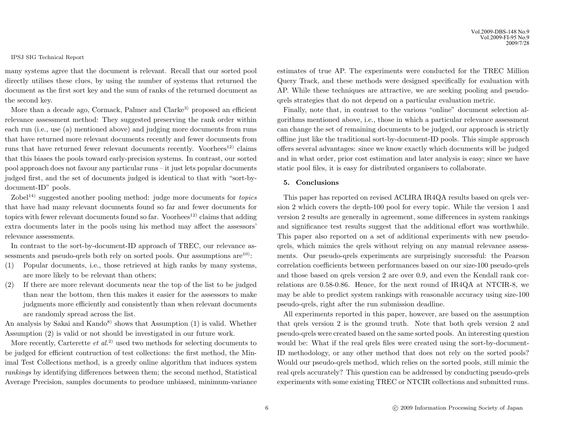many systems agree that the document is relevant. Recall that our sorted pool directly utilises these clues, by using the number of systems that returned the document as the first sort key and the sum of ranks of the returned document as the second key.

More than a decade ago, Cormack, Palmer and  $\text{Clarke}^{3}$  proposed an efficient relevance assessment method: They suggested preserving the rank order within each run (i.e., use (a) mentioned above) and judging more documents from runs that have returned more relevant documents recently and fewer documents from runs that have returned fewer relevant documents recently. Voorhees $^{12}$  claims that this biases the pools toward early-precision systems. In contrast, our sorted pool approach does not favour any particular runs – it just lets popular documents judged first, and the set of documents judged is identical to that with "sort-bydocument-ID" pools.

Zobel14) suggested another pooling method: judge more documents for *topics* that have had many relevant documents found so far and fewer documents for topics with fewer relevant documents found so far. Voorhees<sup>12)</sup> claims that adding extra documents later in the pools using his method may affect the assessors' relevance assessments.

In contrast to the sort-by-document-ID approach of TREC, our relevance assessments and pseudo-qrels both rely on sorted pools. Our assumptions  $are^{10}$ :

- (1) Popular documents, i.e., those retrieved at high ranks by many systems, are more likely to be relevant than others;
- (2) If there are more relevant documents near the top of the list to be judged than near the bottom, then this makes it easier for the assessors to make judgments more efficiently and consistently than when relevant documents are randomly spread across the list.

An analysis by Sakai and  $Kando<sup>8</sup>$  shows that Assumption (1) is valid. Whether Assumption (2) is valid or not should be investigated in our future work.

More recently, Carterette *et al.*<sup>2)</sup> used two methods for selecting documents to be judged for efficient contruction of test collections: the first method, the Minimal Test Collections method, is a greedy online algorithm that induces system *rankings* by identifying differences between them; the second method, Statistical Average Precision, samples documents to produce unbiased, minimum-variance estimates of true AP. The experiments were conducted for the TREC Million Query Track, and these methods were designed specifically for evaluation with AP. While these techniques are attractive, we are seeking pooling and pseudoqrels strategies that do not depend on a particular evaluation metric.

Finally, note that, in contrast to the various "online" document selection algorithms mentioned above, i.e., those in which a particular relevance assessment can change the set of remaining documents to be judged, our approach is strictly offline just like the traditional sort-by-document-ID pools. This simple approach offers several advantages: since we know exactly which documents will be judged and in what order, prior cost estimation and later analysis is easy; since we have static pool files, it is easy for distributed organisers to collaborate.

### **5. Conclusions**

This paper has reported on revised ACLIRA IR4QA results based on qrels version 2 which covers the depth-100 pool for every topic. While the version 1 and version 2 results are generally in agreement, some differences in system rankings and significance test results suggest that the additional effort was worthwhile. This paper also reported on a set of additional experiments with new pseudoqrels, which mimics the qrels without relying on any manual relevance assessments. Our pseudo-qrels experiments are surprisingly successful: the Pearson correlation coefficients between performances based on our size-100 pseudo-qrels and those based on qrels version 2 are over 0.9, and even the Kendall rank correlations are 0.58-0.86. Hence, for the next round of IR4QA at NTCIR-8, we may be able to predict system rankings with reasonable accuracy using size-100 pseudo-qrels, right after the run submission deadline.

All experiments reported in this paper, however, are based on the assumption that qrels version 2 is the ground truth. Note that both qrels version 2 and pseudo-qrels were created based on the same sorted pools. An interesting question would be: What if the real qrels files were created using the sort-by-document-ID methodology, or any other method that does not rely on the sorted pools? Would our pseudo-qrels method, which relies on the sorted pools, still mimic the real qrels accurately? This question can be addressed by conducting pseudo-qrels experiments with some existing TREC or NTCIR collections and submitted runs.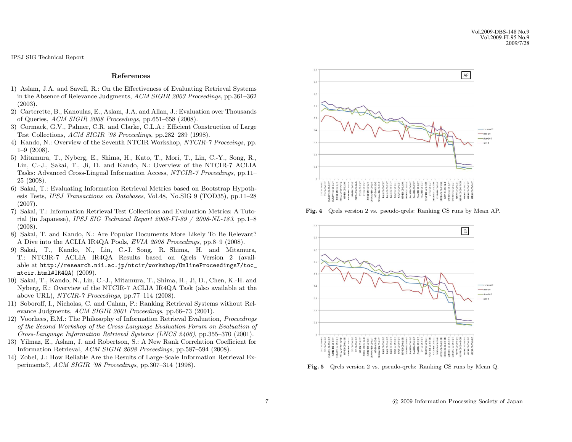### **References**

- 1) Aslam, J.A. and Savell, R.: On the Effectiveness of Evaluating Retrieval Systems in the Absence of Relevance Judgments, *ACM SIGIR 2003 Proceedings*, pp.361–362 (2003).
- 2) Carterette, B., Kanoulas, E., Aslam, J.A. and Allan, J.: Evaluation over Thousands of Queries, *ACM SIGIR 2008 Proceedings*, pp.651–658 (2008).
- 3) Cormack, G.V., Palmer, C.R. and Clarke, C.L.A.: Efficient Construction of Large Test Collections, *ACM SIGIR '98 Proceedings*, pp.282–289 (1998).
- 4) Kando, N.: Overview of the Seventh NTCIR Workshop, *NTCIR-7 Proceeings*, pp. 1–9 (2008).
- 5) Mitamura, T., Nyberg, E., Shima, H., Kato, T., Mori, T., Lin, C.-Y., Song, R., Lin, C.-J., Sakai, T., Ji, D. and Kando, N.: Overview of the NTCIR-7 ACLIA Tasks: Advanced Cross-Lingual Information Access, *NTCIR-7 Proceedings*, pp.11– 25 (2008).
- 6) Sakai, T.: Evaluating Information Retrieval Metrics based on Bootstrap Hypothesis Tests, *IPSJ Transactions on Databases*, Vol.48, No.SIG 9 (TOD35), pp.11–28 (2007).
- 7) Sakai, T.: Information Retrieval Test Collections and Evaluation Metrics: A Tutorial (in Japanese), *IPSJ SIG Technical Report 2008-FI-89 / 2008-NL-183*, pp.1–8 (2008).
- 8) Sakai, T. and Kando, N.: Are Popular Documents More Likely To Be Relevant? A Dive into the ACLIA IR4QA Pools, *EVIA 2008 Proceedings*, pp.8–9 (2008).
- 9) Sakai, T., Kando, N., Lin, C.-J. Song, R. Shima, H. and Mitamura, T.: NTCIR-7 ACLIA IR4QA Results based on Qrels Version 2 (available at http://research.nii.ac.jp/ntcir/workshop/OnlineProceedings7/toc ntcir.html#IR4QA) (2009).
- 10) Sakai, T., Kando, N., Lin, C.-J., Mitamura, T., Shima, H., Ji, D., Chen, K.-H. and Nyberg, E.: Overview of the NTCIR-7 ACLIA IR4QA Task (also available at the above URL), *NTCIR-7 Proceedings*, pp.77–114 (2008).
- 11) Soboroff, I., Nicholas, C. and Cahan, P.: Ranking Retrieval Systems without Relevance Judgments, *ACM SIGIR 2001 Proceedings*, pp.66–73 (2001).
- 12) Voorhees, E.M.: The Philosophy of Information Retrieval Evaluation, *Proceedings of the Second Workshop of the Cross-Language Evaluation Forum on Evaluation of Cross-Language Information Retrieval Systems (LNCS 2406)*, pp.355–370 (2001).
- 13) Yilmaz, E., Aslam, J. and Robertson, S.: A New Rank Correlation Coefficient for Information Retrieval, *ACM SIGIR 2008 Proceedings*, pp.587–594 (2008).
- 14) Zobel, J.: How Reliable Are the Results of Large-Scale Information Retrieval Experiments?, *ACM SIGIR '98 Proceedings*, pp.307–314 (1998).



**Fig. 4** Qrels version 2 vs. pseudo-qrels: Ranking CS runs by Mean AP.



**Fig. 5** Qrels version 2 vs. pseudo-qrels: Ranking CS runs by Mean Q.